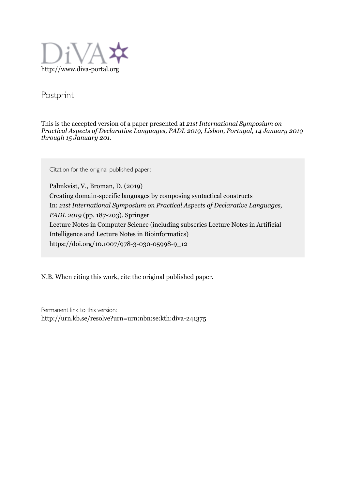

Postprint

This is the accepted version of a paper presented at *21st International Symposium on Practical Aspects of Declarative Languages, PADL 2019, Lisbon, Portugal, 14 January 2019 through 15 January 201*.

Citation for the original published paper:

Palmkvist, V., Broman, D. (2019) Creating domain-specific languages by composing syntactical constructs In: *21st International Symposium on Practical Aspects of Declarative Languages, PADL 2019* (pp. 187-203). Springer Lecture Notes in Computer Science (including subseries Lecture Notes in Artificial Intelligence and Lecture Notes in Bioinformatics) https://doi.org/10.1007/978-3-030-05998-9\_12

N.B. When citing this work, cite the original published paper.

Permanent link to this version: http://urn.kb.se/resolve?urn=urn:nbn:se:kth:diva-241375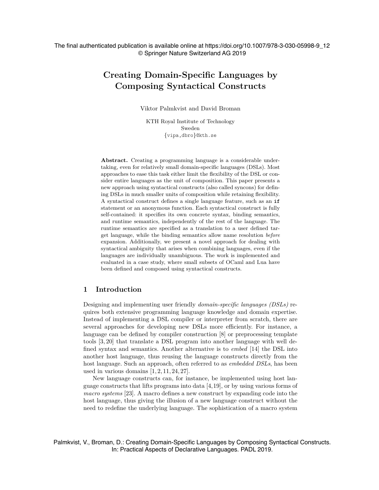# **Creating Domain-Specific Languages by Composing Syntactical Constructs**

Viktor Palmkvist and David Broman

KTH Royal Institute of Technology Sweden *{*vipa,dbro*}*@kth.se

**Abstract.** Creating a programming language is a considerable undertaking, even for relatively small domain-specific languages (DSLs). Most approaches to ease this task either limit the flexibility of the DSL or consider entire languages as the unit of composition. This paper presents a new approach using syntactical constructs (also called syncons) for defining DSLs in much smaller units of composition while retaining flexibility. A syntactical construct defines a single language feature, such as an **if** statement or an anonymous function. Each syntactical construct is fully self-contained: it specifies its own concrete syntax, binding semantics, and runtime semantics, independently of the rest of the language. The runtime semantics are specified as a translation to a user defined target language, while the binding semantics allow name resolution *before* expansion. Additionally, we present a novel approach for dealing with syntactical ambiguity that arises when combining languages, even if the languages are individually unambiguous. The work is implemented and evaluated in a case study, where small subsets of OCaml and Lua have been defined and composed using syntactical constructs.

# **1 Introduction**

Designing and implementing user friendly *domain-specific languages (DSLs)* requires both extensive programming language knowledge and domain expertise. Instead of implementing a DSL compiler or interpreter from scratch, there are several approaches for developing new DSLs more efficiently. For instance, a language can be defined by compiler construction [8] or preprocessing template tools [3, 20] that translate a DSL program into another language with well defined syntax and semantics. Another alternative is to *embed* [14] the DSL into another host language, thus reusing the language constructs directly from the host language. Such an approach, often referred to as *embedded DSLs*, has been used in various domains  $[1, 2, 11, 24, 27]$ .

New language constructs can, for instance, be implemented using host language constructs that lifts programs into data [4,19], or by using various forms of *macro systems* [23]. A macro defines a new construct by expanding code into the host language, thus giving the illusion of a new language construct without the need to redefine the underlying language. The sophistication of a macro system

Palmkvist, V., Broman, D.: Creating Domain-Specific Languages by Composing Syntactical Constructs. In: Practical Aspects of Declarative Languages. PADL 2019.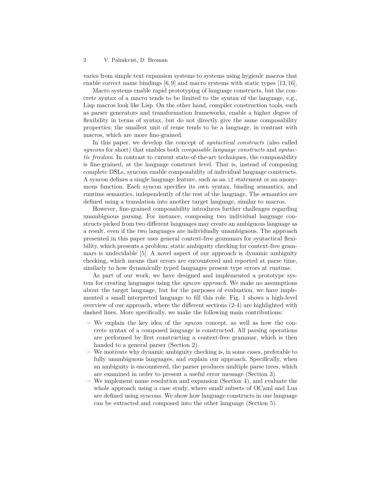varies from simple text expansion systems to systems using hygienic macros that enable correct name bindings  $[6, 9]$  and macro systems with static types  $[13, 16]$ .

Macro systems enable rapid prototyping of language constructs, but the concrete syntax of a macro tends to be limited to the syntax of the language, e.g., Lisp macros look like Lisp. On the other hand, compiler construction tools, such as parser generators and transformation frameworks, enable a higher degree of flexibility in terms of syntax, but do not directly give the same composability properties; the smallest unit of reuse tends to be a language, in contrast with macros, which are more fine-grained.

In this paper, we develop the concept of *syntactical constructs* (also called *syncons* for short) that enables both *composable language constructs* and *syntactic freedom*. In contrast to current state-of-the-art techniques, the composability is fine-grained, at the language construct level. That is, instead of composing complete DSLs, syncons enable composability of individual language constructs. A syncon defines a single language feature, such as an if statement or an anonymous function. Each syncon specifies its own syntax, binding semantics, and runtime semantics, independently of the rest of the language. The semantics are defined using a translation into another target language, similar to macros.

However, fine-grained composability introduces further challenges regarding unambiguous parsing. For instance, composing two individual language constructs picked from two different languages may create an ambiguous language as a result, even if the two languages are individually unambiguous. The approach presented in this paper uses general context-free grammars for syntactical flexibility, which presents a problem: static ambiguity checking for context-free grammars is undecidable [5]. A novel aspect of our approach is dynamic ambiguity checking, which means that errors are encountered and reported at parse time, similarly to how dynamically typed languages present type errors at runtime.

As part of our work, we have designed and implemented a prototype system for creating languages using the *syncon approach*. We make no assumptions about the target language, but for the purposes of evaluation, we have implemented a small interpreted language to fill this role. Fig. 1 shows a high-level overview of our approach, where the different sections  $(2-4)$  are highlighted with dashed lines. More specifically, we make the following main contributions:

- **–** We explain the key idea of the *syncon* concept, as well as how the concrete syntax of a composed language is constructed. All parsing operations are performed by first constructing a context-free grammar, which is then handed to a general parser (Section 2).
- **–** We motivate why dynamic ambiguity checking is, in some cases, preferable to fully unambiguous languages, and explain our approach. Specifically, when an ambiguity is encountered, the parser produces multiple parse trees, which are examined in order to present a useful error message (Section 3).
- **–** We implement name resolution and expansion (Section 4), and evaluate the whole approach using a case study, where small subsets of OCaml and Lua are defined using syncons. We show how language constructs in one language can be extracted and composed into the other language (Section 5).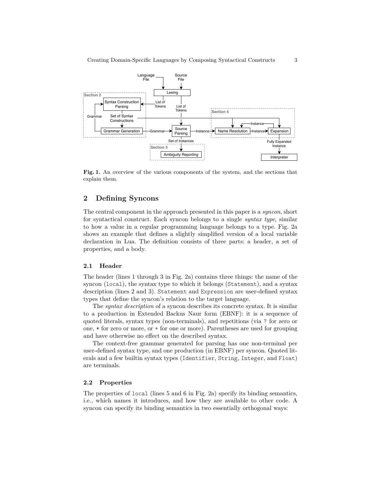

**Fig. 1.** An overview of the various components of the system, and the sections that explain them.

### **2 Defining Syncons**

The central component in the approach presented in this paper is a *syncon*, short for syntactical construct. Each syncon belongs to a single *syntax type*, similar to how a value in a regular programming language belongs to a type. Fig. 2a shows an example that defines a slightly simplified version of a local variable declaration in Lua. The definition consists of three parts: a header, a set of properties, and a body.

### **2.1 Header**

The header (lines 1 through 3 in Fig. 2a) contains three things: the name of the syncon (local), the syntax type to which it belongs (Statement), and a syntax description (lines 2 and 3). Statement and Expression are user-defined syntax types that define the syncon's relation to the target language.

The *syntax description* of a syncon describes its concrete syntax. It is similar to a production in Extended Backus Naur form (EBNF): it is a sequence of quoted literals, syntax types (non-terminals), and repetitions (via ? for zero or one, \* for zero or more, or + for one or more). Parentheses are used for grouping and have otherwise no effect on the described syntax.

The context-free grammar generated for parsing has one non-terminal per user-defined syntax type, and one production (in EBNF) per syncon. Quoted literals and a few builtin syntax types (Identifier, String, Integer, and Float) are terminals.

### **2.2 Properties**

The properties of local (lines 5 and 6 in Fig. 2a) specify its binding semantics, i.e., which names it introduces, and how they are available to other code. A syncon can specify its binding semantics in two essentially orthogonal ways: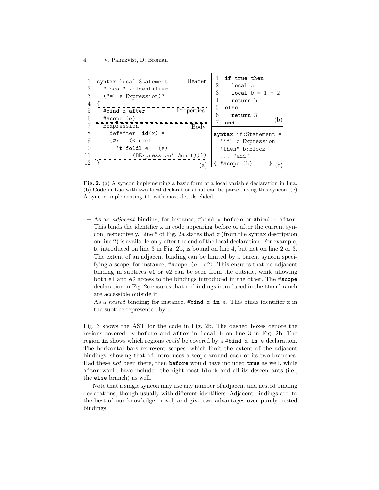$$
\begin{array}{c|c|c|c|c|c} 1 & \hline & \hline & \hline & \hline & \hline & \hline & \hline & \hline & \hline & \hline & \hline & \hline & \hline & \hline & \hline & \hline & \hline & \hline & \hline & \hline & \hline & \hline & \hline & \hline & \hline & \hline & \hline & \hline & \hline & \hline & \hline & \hline & \hline & \hline & \hline & \hline & \hline & \hline & \hline & \hline & \hline & \hline & \hline & \hline & \hline & \hline & \hline & \hline & \hline & \hline & \hline & \hline & \hline & \hline & \hline & \hline & \hline & \hline & \hline & \hline & \hline & \hline & \hline & \hline & \hline & \hline & \hline & \hline & \hline & \hline & \hline & \hline & \hline & \hline & \hline & \hline & \hline & \hline & \hline & \hline & \hline & \hline & \hline & \hline & \hline & \hline & \hline & \hline & \hline & \hline & \hline & \hline & \hline & \hline & \hline & \hline & \hline & \hline & \hline & \hline & \hline & \hline & \hline & \hline & \hline & \hline & \hline & \hline & \hline & \hline & \hline & \hline & \hline & \hline & \hline & \hline & \hline & \hline & \hline & \hline & \hline & \hline & \hline &
$$

 $\overline{1}$ 

**Fig. 2.** (a) A syncon implementing a basic form of a local variable declaration in Lua. (b) Code in Lua with two local declarations that can be parsed using this syncon. (c) A syncon implementing **if**, with most details elided.

- **–** As an *adjacent* binding; for instance, #**bind** x **before** or #**bind** x **after**. This binds the identifier x in code appearing before or after the current syncon, respectively. Line 5 of Fig. 2a states that x (from the syntax description on line 2) is available only after the end of the local declaration. For example, b, introduced on line 3 in Fig. 2b, is bound on line 4, but not on line 2 or 3. The extent of an adjacent binding can be limited by a parent syncon specifying a scope; for instance, #**scope** (e1 e2). This ensures that no adjacent binding in subtrees e1 or e2 can be seen from the outside, while allowing both e1 and e2 access to the bindings introduced in the other. The #**scope** declaration in Fig. 2c ensures that no bindings introduced in the **then** branch are accessible outside it.
- **–** As a *nested* binding; for instance, #**bind** x **in** e. This binds identifier x in the subtree represented by e.

Fig. 3 shows the AST for the code in Fig. 2b. The dashed boxes denote the regions covered by **before** and **after** in **local** b on line 3 in Fig. 2b. The region **in** shows which regions *could* be covered by a #**bind** x **in** e declaration. The horizontal bars represent scopes, which limit the extent of the adjacent bindings, showing that **if** introduces a scope around each of its two branches. Had these *not* been there, then **before** would have included **true** as well, while **after** would have included the right-most block and all its descendants (i.e., the **else** branch) as well.

Note that a single syncon may use any number of adjacent and nested binding declarations, though usually with different identifiers. Adjacent bindings are, to the best of our knowledge, novel, and give two advantages over purely nested bindings: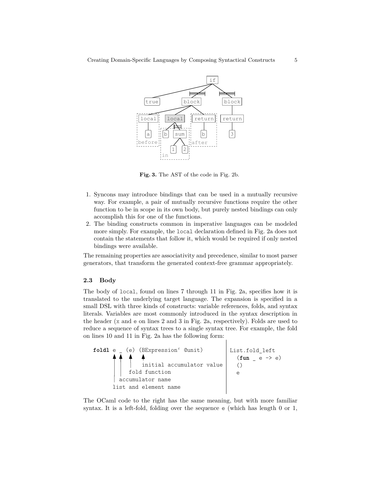

**Fig. 3.** The AST of the code in Fig. 2b.

- 1. Syncons may introduce bindings that can be used in a mutually recursive way. For example, a pair of mutually recursive functions require the other function to be in scope in its own body, but purely nested bindings can only accomplish this for one of the functions.
- 2. The binding constructs common in imperative languages can be modeled more simply. For example, the local declaration defined in Fig. 2a does not contain the statements that follow it, which would be required if only nested bindings were available.

The remaining properties are associativity and precedence, similar to most parser generators, that transform the generated context-free grammar appropriately.

#### **2.3 Body**

The body of local, found on lines 7 through 11 in Fig. 2a, specifies how it is translated to the underlying target language. The expansion is specified in a small DSL with three kinds of constructs: variable references, folds, and syntax literals. Variables are most commonly introduced in the syntax description in the header (x and e on lines 2 and 3 in Fig. 2a, respectively). Folds are used to reduce a sequence of syntax trees to a single syntax tree. For example, the fold on lines 10 and 11 in Fig. 2a has the following form:

 $\overline{\phantom{a}}$ 

| foldl e <i>(e)</i> (BExpression' Qunit) | List.fold_left  <br>$(fun \t e \rightarrow e)$ |
|-----------------------------------------|------------------------------------------------|
| initial accumulator value               |                                                |
| fold function                           | е                                              |
| accumulator name                        |                                                |
| list and element name                   |                                                |

The OCaml code to the right has the same meaning, but with more familiar syntax. It is a left-fold, folding over the sequence e (which has length 0 or 1,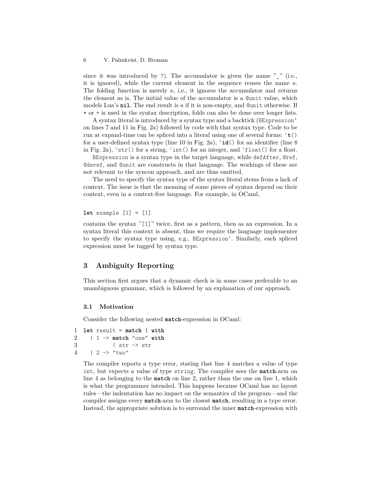since it was introduced by ?). The accumulator is given the name "\_" (i.e., it is ignored), while the current element in the sequence reuses the name e. The folding function is merely e, i.e., it ignores the accumulator and returns the element as is. The initial value of the accumulator is a @unit value, which models Lua's **nil**. The end result is e if it is non-empty, and @unit otherwise. If \* or + is used in the syntax description, folds can also be done over longer lists.

A syntax literal is introduced by a syntax type and a backtick (BExpression' on lines 7 and 11 in Fig. 2a) followed by code with that syntax type. Code to be run at expand-time can be spliced into a literal using one of several forms: '**t**() for a user-defined syntax type (line 10 in Fig. 2a), '**id**() for an identifier (line 8 in Fig. 2a), 'str() for a string, 'int() for an integer, and 'float() for a float.

BExpression is a syntax type in the target language, while defAfter, @ref, @deref, and @unit are constructs in that language. The workings of these are not relevant to the syncon approach, and are thus omitted.

The need to specify the syntax type of the syntax literal stems from a lack of context. The issue is that the meaning of some pieces of syntax depend on their context, even in a context-free language. For example, in OCaml,

**let** example [1] = [1]

contains the syntax "[1]" twice, first as a pattern, then as an expression. In a syntax literal this context is absent, thus we require the language implementer to specify the syntax type using, e.g., BExpression'. Similarly, each spliced expression must be tagged by syntax type.

# **3 Ambiguity Reporting**

This section first argues that a dynamic check is in some cases preferable to an unambiguous grammar, which is followed by an explanation of our approach.

### **3.1 Motivation**

Consider the following nested **match**-expression in OCaml:

```
1 let result = match 1 with
2 | 1 -> match "one" with
3 | str -> str
4 | 2 -> "two"
```
The compiler reports a type error, stating that line 4 matches a value of type int, but expects a value of type string. The compiler sees the **match**-arm on line 4 as belonging to the **match** on line 2, rather than the one on line 1, which is what the programmer intended. This happens because OCaml has no layout rules—the indentation has no impact on the semantics of the program—and the compiler assigns every **match**-arm to the closest **match**, resulting in a type error. Instead, the appropriate solution is to surround the inner **match**-expression with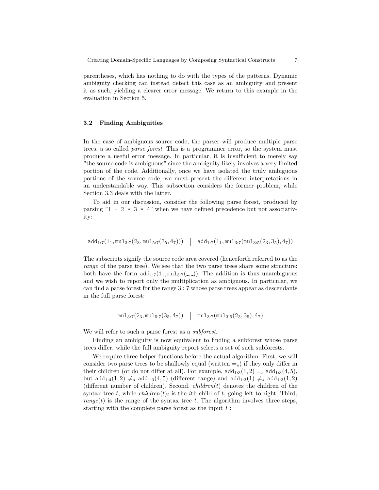parentheses, which has nothing to do with the types of the patterns. Dynamic ambiguity checking can instead detect this case as an ambiguity and present it as such, yielding a clearer error message. We return to this example in the evaluation in Section 5.

#### **3.2 Finding Ambiguities**

In the case of ambiguous source code, the parser will produce multiple parse trees, a so called *parse forest*. This is a programmer error, so the system must produce a useful error message. In particular, it is insufficient to merely say "the source code is ambiguous" since the ambiguity likely involves a very limited portion of the code. Additionally, once we have isolated the truly ambiguous portions of the source code, we must present the different interpretations in an understandable way. This subsection considers the former problem, while Section 3.3 deals with the latter.

To aid in our discussion, consider the following parse forest, produced by parsing "1 + 2  $*$  3  $*$  4" when we have defined precedence but not associativity:

$$
\text{add}_{1:7}(1_1, \text{mul}_{3:7}(2_3, \text{mul}_{5:7}(3_5, 4_7))) \quad \text{add}_{1:7}(1_1, \text{mul}_{3:7}(\text{mul}_{3:5}(2_3, 3_5), 4_7))
$$

The subscripts signify the source code area covered (henceforth referred to as the *range* of the parse tree). We see that the two parse trees share some structure: both have the form  $add_{1:7}(1_1, mul_{3:7}(-, .))$ . The addition is thus unambiguous and we wish to report only the multiplication as ambiguous. In particular, we can find a parse forest for the range 3 : 7 whose parse trees appear as descendants in the full parse forest:

$$
\texttt{mul}_{3:7}(2_3, \texttt{mul}_{5:7}(3_5, 4_7)) \quad | \quad \texttt{mul}_{3:7}(\texttt{mul}_{3:5}(2_3, 3_5), 4_7)
$$

We will refer to such a parse forest as a *subforest*.

Finding an ambiguity is now equivalent to finding a subforest whose parse trees differ, while the full ambiguity report selects a set of such subforests.

We require three helper functions before the actual algorithm. First, we will consider two parse trees to be shallowly equal (written  $=$ <sub>s</sub>) if they only differ in their children (or do not differ at all). For example,  $\text{add}_{1:3}(1,2) =_{s} \text{add}_{1:3}(4,5)$ , but add<sub>1:4</sub>(1,2)  $\neq_s$  add<sub>1:3</sub>(4,5) (different range) and add<sub>1:3</sub>(1)  $\neq_s$  add<sub>1:3</sub>(1,2) (different number of children). Second,  $children(t)$  denotes the children of the syntax tree *t*, while *children* $(t)$ *i* is the *i*th child of *t*, going left to right. Third,  $range(t)$  is the range of the syntax tree  $t$ . The algorithm involves three steps, starting with the complete parse forest as the input *F*: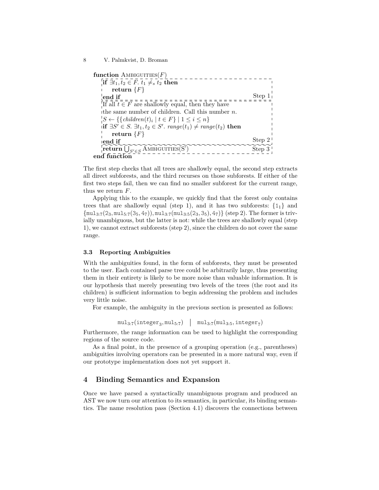```
function \text{AMBIGUITIES}(F)\overline{\bf{a}}if \overline{\exists t_1, t_2 \in F}. \overline{t_1 \neq s}, \overline{t_2} then
          return {F}
     end if
     If all t \in F are shallowly equal, then they have
    the same number of children. Call this number n.
    \{S \leftarrow \{\{children(t)_i \mid t \in F\} \mid 1 \leq i \leq n\}if \exists S' \in S. \exists t_1, t_2 \in S'. range(t_1) \neq range(t_2) then
          return {F}
    end if
     \textbf{return} \bigcup_{S' \in S} \overline{\textbf{A}} AMBIGUITIES(S<sup>7</sup>)
end function
                                                                                         Step 1
                                                                                         Step 2
                                                                                         Step 3
```
The first step checks that all trees are shallowly equal, the second step extracts all direct subforests, and the third recurses on those subforests. If either of the first two steps fail, then we can find no smaller subforest for the current range, thus we return *F*.

Applying this to the example, we quickly find that the forest only contains trees that are shallowly equal (step 1), and it has two subforests:  $\{1_1\}$  and  ${\mu_1, \ldots, \mu_k, \ldots, \mu_k, \ldots, \mu_k, \ldots, \mu_k, \ldots, \mu_k, \ldots, \mu_k, \ldots, \mu_k, \ldots, \mu_k, \ldots, \mu_k, \ldots, \mu_k, \ldots, \mu_k, \ldots, \mu_k, \ldots, \mu_k, \ldots, \mu_k, \ldots, \mu_k, \ldots, \mu_k, \ldots, \mu_k, \ldots, \mu_k, \ldots, \mu_k, \ldots, \mu_k, \ldots, \mu_k, \ldots, \mu_k, \ldots, \mu_k, \ldots, \mu_k, \ldots, \mu_k, \ldots, \mu_k, \ldots, \mu_k$ ially unambiguous, but the latter is not: while the trees are shallowly equal (step 1), we cannot extract subforests (step 2), since the children do not cover the same range.

### **3.3 Reporting Ambiguities**

With the ambiguities found, in the form of subforests, they must be presented to the user. Each contained parse tree could be arbitrarily large, thus presenting them in their entirety is likely to be more noise than valuable information. It is our hypothesis that merely presenting two levels of the trees (the root and its children) is sufficient information to begin addressing the problem and includes very little noise.

For example, the ambiguity in the previous section is presented as follows:

 $mul_{3:7}(integer_{3}, mul_{5:7})$  |  $mul_{3:7}(mul_{3:5}, integer_{7})$ 

Furthermore, the range information can be used to highlight the corresponding regions of the source code.

As a final point, in the presence of a grouping operation (e.g., parentheses) ambiguities involving operators can be presented in a more natural way, even if our prototype implementation does not yet support it.

# **4 Binding Semantics and Expansion**

Once we have parsed a syntactically unambiguous program and produced an AST we now turn our attention to its semantics, in particular, its binding semantics. The name resolution pass (Section 4.1) discovers the connections between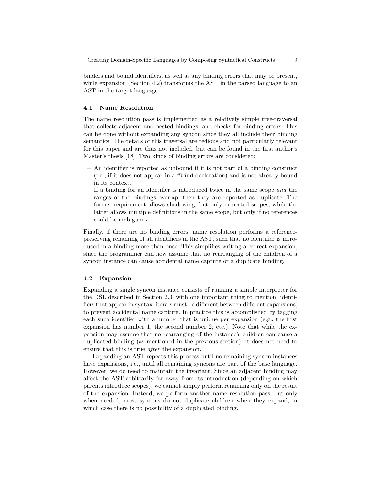binders and bound identifiers, as well as any binding errors that may be present, while expansion (Section 4.2) transforms the AST in the parsed language to an AST in the target language.

### **4.1 Name Resolution**

The name resolution pass is implemented as a relatively simple tree-traversal that collects adjacent and nested bindings, and checks for binding errors. This can be done without expanding any syncon since they all include their binding semantics. The details of this traversal are tedious and not particularly relevant for this paper and are thus not included, but can be found in the first author's Master's thesis [18]. Two kinds of binding errors are considered:

- **–** An identifier is reported as unbound if it is not part of a binding construct (i.e., if it does not appear in a #**bind** declaration) and is not already bound in its context.
- **–** If a binding for an identifier is introduced twice in the same scope *and* the ranges of the bindings overlap, then they are reported as duplicate. The former requirement allows shadowing, but only in nested scopes, while the latter allows multiple definitions in the same scope, but only if no references could be ambiguous.

Finally, if there are no binding errors, name resolution performs a referencepreserving renaming of all identifiers in the AST, such that no identifier is introduced in a binding more than once. This simplifies writing a correct expansion, since the programmer can now assume that no rearranging of the children of a syncon instance can cause accidental name capture or a duplicate binding.

#### **4.2 Expansion**

Expanding a single syncon instance consists of running a simple interpreter for the DSL described in Section 2.3, with one important thing to mention: identifiers that appear in syntax literals must be different between different expansions, to prevent accidental name capture. In practice this is accomplished by tagging each such identifier with a number that is unique per expansion (e.g., the first expansion has number 1, the second number 2, etc.). Note that while the expansion may assume that no rearranging of the instance's children can cause a duplicated binding (as mentioned in the previous section), it does not need to ensure that this is true *after* the expansion.

Expanding an AST repeats this process until no remaining syncon instances have expansions, i.e., until all remaining syncons are part of the base language. However, we do need to maintain the invariant. Since an adjacent binding may affect the AST arbitrarily far away from its introduction (depending on which parents introduce scopes), we cannot simply perform renaming only on the result of the expansion. Instead, we perform another name resolution pass, but only when needed; most syncons do not duplicate children when they expand, in which case there is no possibility of a duplicated binding.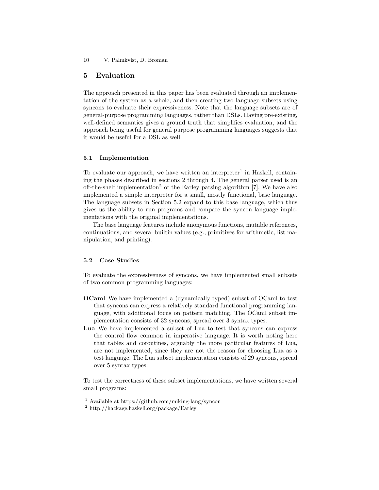### **5 Evaluation**

The approach presented in this paper has been evaluated through an implementation of the system as a whole, and then creating two language subsets using syncons to evaluate their expressiveness. Note that the language subsets are of general-purpose programming languages, rather than DSLs. Having pre-existing, well-defined semantics gives a ground truth that simplifies evaluation, and the approach being useful for general purpose programming languages suggests that it would be useful for a DSL as well.

#### **5.1 Implementation**

To evaluate our approach, we have written an interpreter<sup>1</sup> in Haskell, containing the phases described in sections 2 through 4. The general parser used is an off-the-shelf implementation<sup>2</sup> of the Earley parsing algorithm  $[7]$ . We have also implemented a simple interpreter for a small, mostly functional, base language. The language subsets in Section 5.2 expand to this base language, which thus gives us the ability to run programs and compare the syncon language implementations with the original implementations.

The base language features include anonymous functions, mutable references, continuations, and several builtin values (e.g., primitives for arithmetic, list manipulation, and printing).

### **5.2 Case Studies**

To evaluate the expressiveness of syncons, we have implemented small subsets of two common programming languages:

- **OCaml** We have implemented a (dynamically typed) subset of OCaml to test that syncons can express a relatively standard functional programming language, with additional focus on pattern matching. The OCaml subset implementation consists of 32 syncons, spread over 3 syntax types.
- **Lua** We have implemented a subset of Lua to test that syncons can express the control flow common in imperative language. It is worth noting here that tables and coroutines, arguably the more particular features of Lua, are not implemented, since they are not the reason for choosing Lua as a test language. The Lua subset implementation consists of 29 syncons, spread over 5 syntax types.

To test the correctness of these subset implementations, we have written several small programs:

<sup>&</sup>lt;sup>1</sup> Available at https://github.com/miking-lang/syncon

<sup>2</sup> http://hackage.haskell.org/package/Earley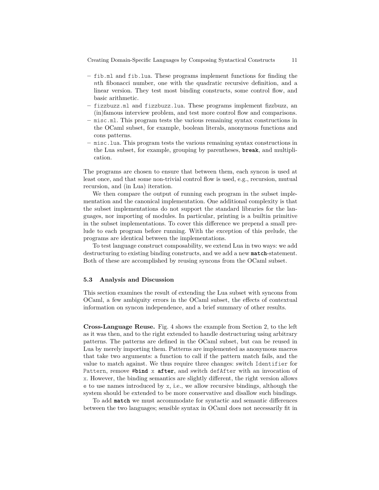Creating Domain-Specific Languages by Composing Syntactical Constructs 11

- **–** fib.ml and fib.lua. These programs implement functions for finding the *n*th fibonacci number, one with the quadratic recursive definition, and a linear version. They test most binding constructs, some control flow, and basic arithmetic.
- **–** fizzbuzz.ml and fizzbuzz.lua. These programs implement fizzbuzz, an (in)famous interview problem, and test more control flow and comparisons.
- **–** misc.ml. This program tests the various remaining syntax constructions in the OCaml subset, for example, boolean literals, anonymous functions and cons patterns.
- **–** misc.lua. This program tests the various remaining syntax constructions in the Lua subset, for example, grouping by parentheses, **break**, and multiplication.

The programs are chosen to ensure that between them, each syncon is used at least once, and that some non-trivial control flow is used, e.g., recursion, mutual recursion, and (in Lua) iteration.

We then compare the output of running each program in the subset implementation and the canonical implementation. One additional complexity is that the subset implementations do not support the standard libraries for the languages, nor importing of modules. In particular, printing is a builtin primitive in the subset implementations. To cover this difference we prepend a small prelude to each program before running. With the exception of this prelude, the programs are identical between the implementations.

To test language construct composability, we extend Lua in two ways: we add destructuring to existing binding constructs, and we add a new **match**-statement. Both of these are accomplished by reusing syncons from the OCaml subset.

### **5.3 Analysis and Discussion**

This section examines the result of extending the Lua subset with syncons from OCaml, a few ambiguity errors in the OCaml subset, the effects of contextual information on syncon independence, and a brief summary of other results.

**Cross-Language Reuse.** Fig. 4 shows the example from Section 2, to the left as it was then, and to the right extended to handle destructuring using arbitrary patterns. The patterns are defined in the OCaml subset, but can be reused in Lua by merely importing them. Patterns are implemented as anonymous macros that take two arguments: a function to call if the pattern match fails, and the value to match against. We thus require three changes: switch Identifier for Pattern, remove #**bind** x **after**, and switch defAfter with an invocation of x. However, the binding semantics are slightly different, the right version allows e to use names introduced by x, i.e., we allow recursive bindings, although the system should be extended to be more conservative and disallow such bindings.

To add **match** we must accommodate for syntactic and semantic differences between the two languages; sensible syntax in OCaml does not necessarily fit in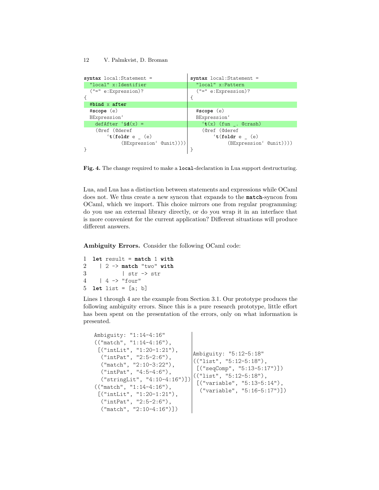

**Fig. 4.** The change required to make a **local**-declaration in Lua support destructuring.

Lua, and Lua has a distinction between statements and expressions while OCaml does not. We thus create a new syncon that expands to the **match**-syncon from OCaml, which we import. This choice mirrors one from regular programming: do you use an external library directly, or do you wrap it in an interface that is more convenient for the current application? Different situations will produce different answers.

**Ambiguity Errors.** Consider the following OCaml code:

```
1 let result = match 1 with
2 | 2 -> match "two" with
3 | str -> str
4 \mid 4 \rightarrow "four"
5 let list = [a; b]
```
Lines 1 through 4 are the example from Section 3.1. Our prototype produces the following ambiguity errors. Since this is a pure research prototype, little effort has been spent on the presentation of the errors, only on what information is presented.

```
Ambiguity: "1:14-4:16"
(("match", "1:14-4:16"),
 [("intLit", "1:20-1:21"),
  ("intPat", "2:5-2:6"),
  ("match", "2:10-3:22"),
  ("intPat", "4:5-4:6"),
  ("stringLit", "4:10-4:16")])
(("match", "1:14-4:16"),
 [("intLit", "1:20-1:21"),
  ("intPat", "2:5-2:6"),
  ("match", "2:10-4:16")])
                               Ambiguity: "5:12-5:18"
                                (("list", "5:12-5:18"),
                                [("seqComp", "5:13-5:17")])
                                (("list", "5:12-5:18"),
                                [("variable", "5:13-5:14"),
                                 ("variable", "5:16-5:17")])
```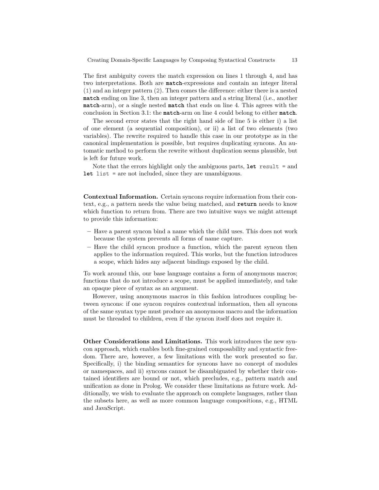The first ambiguity covers the match expression on lines 1 through 4, and has two interpretations. Both are **match**-expressions and contain an integer literal  $(1)$  and an integer pattern  $(2)$ . Then comes the difference: either there is a nested **match** ending on line 3, then an integer pattern and a string literal (i.e., another **match**-arm), or a single nested **match** that ends on line 4. This agrees with the conclusion in Section 3.1: the **match**-arm on line 4 could belong to either **match**.

The second error states that the right hand side of line 5 is either i) a list of one element (a sequential composition), or ii) a list of two elements (two variables). The rewrite required to handle this case in our prototype as in the canonical implementation is possible, but requires duplicating syncons. An automatic method to perform the rewrite without duplication seems plausible, but is left for future work.

Note that the errors highlight only the ambiguous parts, **let** result = and **let** list = are not included, since they are unambiguous.

**Contextual Information.** Certain syncons require information from their context, e.g., a pattern needs the value being matched, and **return** needs to know which function to return from. There are two intuitive ways we might attempt to provide this information:

- **–** Have a parent syncon bind a name which the child uses. This does not work because the system prevents all forms of name capture.
- **–** Have the child syncon produce a function, which the parent syncon then applies to the information required. This works, but the function introduces a scope, which hides any adjacent bindings exposed by the child.

To work around this, our base language contains a form of anonymous macros; functions that do not introduce a scope, must be applied immediately, and take an opaque piece of syntax as an argument.

However, using anonymous macros in this fashion introduces coupling between syncons: if one syncon requires contextual information, then all syncons of the same syntax type must produce an anonymous macro and the information must be threaded to children, even if the syncon itself does not require it.

**Other Considerations and Limitations.** This work introduces the new syncon approach, which enables both fine-grained composability and syntactic freedom. There are, however, a few limitations with the work presented so far. Specifically, i) the binding semantics for syncons have no concept of modules or namespaces, and ii) syncons cannot be disambiguated by whether their contained identifiers are bound or not, which precludes, e.g., pattern match and unification as done in Prolog. We consider these limitations as future work. Additionally, we wish to evaluate the approach on complete languages, rather than the subsets here, as well as more common language compositions, e.g., HTML and JavaScript.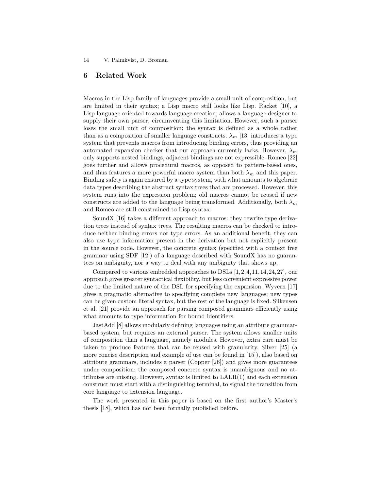### **6 Related Work**

Macros in the Lisp family of languages provide a small unit of composition, but are limited in their syntax; a Lisp macro still looks like Lisp. Racket [10], a Lisp language oriented towards language creation, allows a language designer to supply their own parser, circumventing this limitation. However, such a parser loses the small unit of composition; the syntax is defined as a whole rather than as a composition of smaller language constructs.  $\lambda_m$  [13] introduces a type system that prevents macros from introducing binding errors, thus providing an automated expansion checker that our approach currently lacks. However,  $\lambda_m$ only supports nested bindings, adjacent bindings are not expressible. Romeo [22] goes further and allows procedural macros, as opposed to pattern-based ones, and thus features a more powerful macro system than both  $\lambda_m$  and this paper. Binding safety is again ensured by a type system, with what amounts to algebraic data types describing the abstract syntax trees that are processed. However, this system runs into the expression problem; old macros cannot be reused if new constructs are added to the language being transformed. Additionally, both  $\lambda_m$ and Romeo are still constrained to Lisp syntax.

SoundX  $[16]$  takes a different approach to macros: they rewrite type derivation trees instead of syntax trees. The resulting macros can be checked to introduce neither binding errors nor type errors. As an additional benefit, they can also use type information present in the derivation but not explicitly present in the source code. However, the concrete syntax (specified with a context free grammar using SDF [12]) of a language described with SoundX has no guarantees on ambiguity, nor a way to deal with any ambiguity that shows up.

Compared to various embedded approaches to DSLs [1,2,4,11,14,24,27], our approach gives greater syntactical flexibility, but less convenient expressive power due to the limited nature of the DSL for specifying the expansion. Wyvern [17] gives a pragmatic alternative to specifying complete new languages; new types can be given custom literal syntax, but the rest of the language is fixed. Silkensen et al. [21] provide an approach for parsing composed grammars efficiently using what amounts to type information for bound identifiers.

JastAdd [8] allows modularly defining languages using an attribute grammarbased system, but requires an external parser. The system allows smaller units of composition than a language, namely modules. However, extra care must be taken to produce features that can be reused with granularity. Silver [25] (a more concise description and example of use can be found in [15]), also based on attribute grammars, includes a parser (Copper [26]) and gives more guarantees under composition: the composed concrete syntax is unambiguous and no attributes are missing. However, syntax is limited to LALR(1) and each extension construct must start with a distinguishing terminal, to signal the transition from core language to extension language.

The work presented in this paper is based on the first author's Master's thesis [18], which has not been formally published before.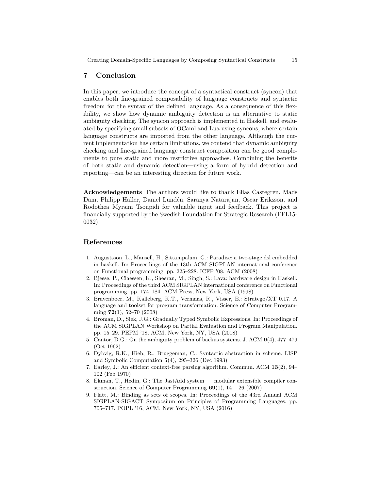### **7 Conclusion**

In this paper, we introduce the concept of a syntactical construct (syncon) that enables both fine-grained composability of language constructs and syntactic freedom for the syntax of the defined language. As a consequence of this flexibility, we show how dynamic ambiguity detection is an alternative to static ambiguity checking. The syncon approach is implemented in Haskell, and evaluated by specifying small subsets of OCaml and Lua using syncons, where certain language constructs are imported from the other language. Although the current implementation has certain limitations, we contend that dynamic ambiguity checking and fine-grained language construct composition can be good complements to pure static and more restrictive approaches. Combining the benefits of both static and dynamic detection—using a form of hybrid detection and reporting—can be an interesting direction for future work.

**Acknowledgements** The authors would like to thank Elias Castegren, Mads Dam, Philipp Haller, Daniel Lundén, Saranya Natarajan, Oscar Eriksson, and Rodothea Myrsini Tsoupidi for valuable input and feedback. This project is financially supported by the Swedish Foundation for Strategic Research (FFL15- 0032).

### **References**

- 1. Augustsson, L., Mansell, H., Sittampalam, G.: Paradise: a two-stage dsl embedded in haskell. In: Proceedings of the 13th ACM SIGPLAN international conference on Functional programming. pp. 225–228. ICFP '08, ACM (2008)
- 2. Bjesse, P., Claessen, K., Sheeran, M., Singh, S.: Lava: hardware design in Haskell. In: Proceedings of the third ACM SIGPLAN international conference on Functional programming. pp. 174–184. ACM Press, New York, USA (1998)
- 3. Bravenboer, M., Kalleberg, K.T., Vermaas, R., Visser, E.: Stratego/XT 0.17. A language and toolset for program transformation. Science of Computer Programming **72**(1), 52–70 (2008)
- 4. Broman, D., Siek, J.G.: Gradually Typed Symbolic Expressions. In: Proceedings of the ACM SIGPLAN Workshop on Partial Evaluation and Program Manipulation. pp. 15–29. PEPM '18, ACM, New York, NY, USA (2018)
- 5. Cantor, D.G.: On the ambiguity problem of backus systems. J. ACM **9**(4), 477–479 (Oct 1962)
- 6. Dybvig, R.K., Hieb, R., Bruggeman, C.: Syntactic abstraction in scheme. LISP and Symbolic Computation **5**(4), 295–326 (Dec 1993)
- 7. Earley, J.: An efficient context-free parsing algorithm. Commun. ACM 13(2), 94– 102 (Feb 1970)
- 8. Ekman, T., Hedin, G.: The JastAdd system modular extensible compiler construction. Science of Computer Programming **69**(1), 14 – 26 (2007)
- 9. Flatt, M.: Binding as sets of scopes. In: Proceedings of the 43rd Annual ACM SIGPLAN-SIGACT Symposium on Principles of Programming Languages. pp. 705–717. POPL '16, ACM, New York, NY, USA (2016)